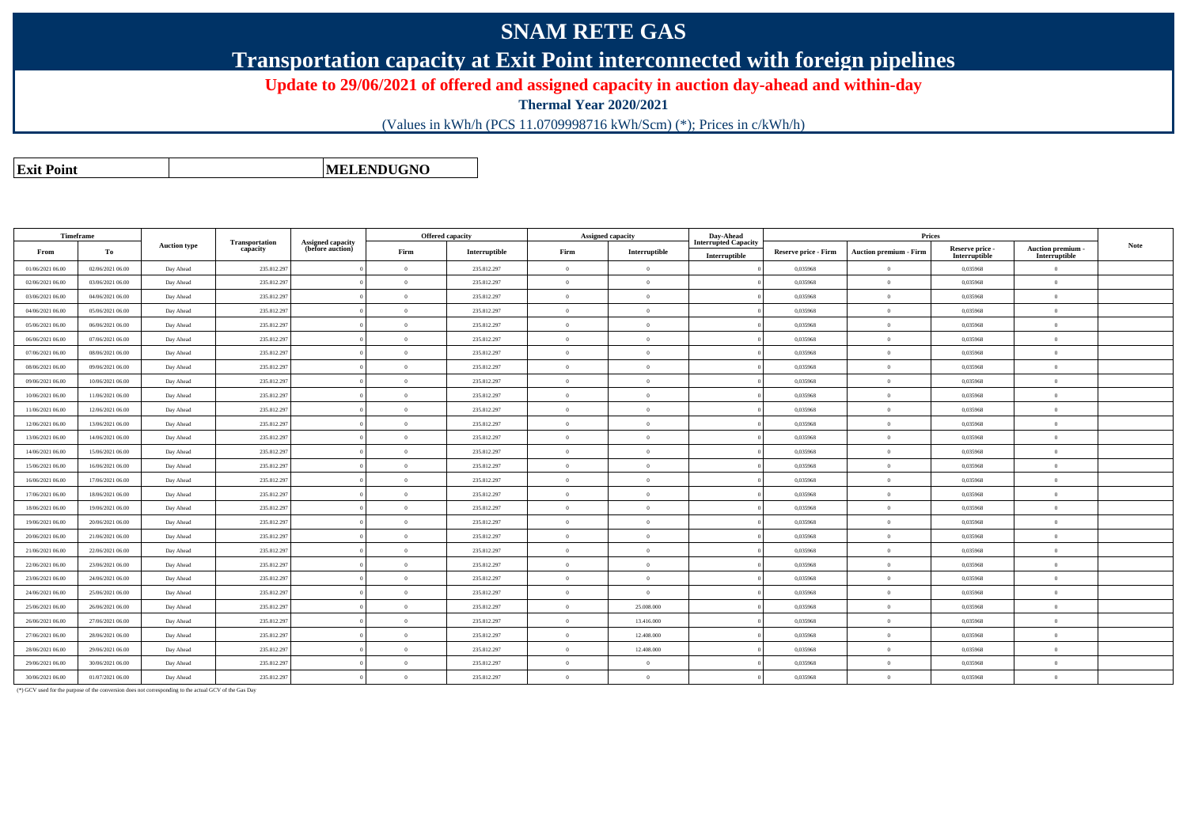## **SNAM RETE GAS**

**Transportation capacity at Exit Point interconnected with foreign pipelines**

**Update to 29/06/2021 of offered and assigned capacity in auction day-ahead and within-day**

**Thermal Year 2020/2021**

(Values in kWh/h (PCS 11.0709998716 kWh/Scm) (\*); Prices in c/kWh/h)

**Exit PointMELENDUGNO**

|                  | Timeframe        | <b>Auction type</b> |                            |                                       |          | <b>Offered capacity</b> |            | Assigned capacity | Day-Ahead                                    |                             |                               |                                  |                                         |             |
|------------------|------------------|---------------------|----------------------------|---------------------------------------|----------|-------------------------|------------|-------------------|----------------------------------------------|-----------------------------|-------------------------------|----------------------------------|-----------------------------------------|-------------|
| From             | To               |                     | Transportation<br>capacity | Assigned capacity<br>(before auction) | Firm     | Interruptible           | Firm       | Interruptible     | <b>Interrupted Capacity</b><br>Interruptible | <b>Reserve price - Firm</b> | <b>Auction premium - Firm</b> | Reserve price -<br>Interruptible | <b>Auction premium</b><br>Interruptible | <b>Note</b> |
| 01/06/2021 06:00 | 02/06/2021 06:00 | Day Ahead           | 235.812.297                |                                       | $\Omega$ | 235.812.297             | $\Omega$   | $\overline{0}$    |                                              | 0.035968                    | $\overline{0}$                | 0.035968                         | $\Omega$                                |             |
| 02/06/2021 06:00 | 03/06/2021 06:00 | Day Ahead           | 235.812.297                |                                       | $\Omega$ | 235.812.297             |            | $\overline{0}$    |                                              | 0.035968                    | $\theta$                      | 0.035968                         | $\overline{0}$                          |             |
| 03/06/2021 06:00 | 04/06/2021 06:00 | Day Ahead           | 235.812.29                 |                                       | $\Omega$ | 235.812.297             | $\Omega$   | $\overline{0}$    |                                              | 0.035968                    | $\overline{0}$                | 0.035968                         | $\overline{0}$                          |             |
| 04/06/2021 06:00 | 05/06/2021 06:00 | Day Ahead           | 235.812.29                 |                                       | $\theta$ | 235.812.297             |            | $\overline{0}$    |                                              | 0,035968                    | $\overline{0}$                | 0,035968                         | $\overline{0}$                          |             |
| 05/06/2021 06:00 | 06/06/2021 06:00 | Day Ahead           | 235.812.297                |                                       | $\theta$ | 235.812.297             | $\Omega$   | $\overline{0}$    |                                              | 0,035968                    | $\overline{0}$                | 0,035968                         | $\theta$                                |             |
| 06/06/2021 06:00 | 07/06/2021 06:00 | Day Ahead           | 235.812.29                 |                                       | $\Omega$ | 235.812.297             | $\Omega$   | $\overline{0}$    |                                              | 0.035968                    | $\overline{0}$                | 0,035968                         | $\overline{0}$                          |             |
| 07/06/2021 06:00 | 08/06/2021 06:00 | Day Ahead           | 235.812.297                |                                       | $\Omega$ | 235.812.297             |            | $\overline{0}$    |                                              | 0.035968                    | $\theta$                      | 0.035968                         | $\theta$                                |             |
| 08/06/2021 06:00 | 09/06/2021 06:00 | Day Ahead           | 235.812.297                |                                       | $\Omega$ | 235.812.297             | $^{\circ}$ | $\overline{0}$    |                                              | 0,035968                    | $\overline{0}$                | 0,035968                         | $\overline{0}$                          |             |
| 09/06/2021 06:00 | 10/06/2021 06:00 | Day Ahead           | 235.812.297                |                                       | $\theta$ | 235.812.297             | $\Omega$   | $\overline{0}$    |                                              | 0.035968                    | $\overline{0}$                | 0.035968                         | $\overline{0}$                          |             |
| 10/06/2021 06:00 | 11/06/2021 06:00 | Day Ahead           | 235.812.29                 |                                       | $\theta$ | 235.812.297             | $\Omega$   | $\overline{0}$    |                                              | 0.035968                    | $\overline{0}$                | 0.035968                         | $\overline{0}$                          |             |
| 11/06/2021 06:00 | 12/06/2021 06:00 | Day Ahead           | 235.812.297                |                                       | $\Omega$ | 235.812.297             |            | $\overline{0}$    |                                              | 0.035968                    | $\theta$                      | 0,035968                         | $\theta$                                |             |
| 12/06/2021 06:00 | 13/06/2021 06:00 | Day Ahead           | 235.812.29                 |                                       | $\Omega$ | 235.812.297             | $\Omega$   | $\overline{0}$    |                                              | 0,035968                    | $\overline{0}$                | 0,035968                         | $\overline{0}$                          |             |
| 13/06/2021 06:00 | 14/06/2021 06:00 | Day Ahead           | 235.812.297                |                                       | $\Omega$ | 235.812.297             |            | $\overline{0}$    |                                              | 0.035968                    | $\theta$                      | 0.035968                         | $\overline{0}$                          |             |
| 14/06/2021 06:00 | 15/06/2021 06:00 | Day Ahead           | 235.812.297                |                                       | $\Omega$ | 235.812.297             |            | $\overline{0}$    |                                              | 0.035968                    | $\theta$                      | 0.035968                         | $\overline{0}$                          |             |
| 15/06/2021 06:00 | 16/06/2021 06:00 | Day Ahead           | 235.812.297                |                                       | $\theta$ | 235.812.297             | $\sqrt{2}$ | $\overline{0}$    |                                              | 0,035968                    | $\overline{0}$                | 0,035968                         | $\overline{0}$                          |             |
| 16/06/2021 06:00 | 17/06/2021 06:00 | Day Ahead           | 235.812.297                |                                       | $\theta$ | 235.812.297             | $\Omega$   | $\overline{0}$    |                                              | 0,035968                    | $\overline{0}$                | 0,035968                         | $\overline{0}$                          |             |
| 17/06/2021 06:00 | 18/06/2021 06:00 | Day Ahead           | 235.812.297                |                                       | $\theta$ | 235.812.297             | $\Omega$   | $\overline{0}$    |                                              | 0.035968                    | $\overline{0}$                | 0.035968                         | $\overline{0}$                          |             |
| 18/06/2021 06:00 | 19/06/2021 06:00 | Day Ahead           | 235.812.297                |                                       | $\theta$ | 235.812.297             |            | $\overline{0}$    |                                              | 0,035968                    | $\theta$                      | 0,035968                         | $\overline{0}$                          |             |
| 19/06/2021 06:00 | 20/06/2021 06:00 | Day Ahead           | 235.812.297                |                                       | $\theta$ | 235.812.297             | $\Omega$   | $\overline{0}$    |                                              | 0,035968                    | $\overline{0}$                | 0,035968                         | $\overline{0}$                          |             |
| 20/06/2021 06:00 | 21/06/2021 06:00 | Day Ahead           | 235.812.297                |                                       | $\Omega$ | 235.812.297             | $\Omega$   | $\overline{0}$    |                                              | 0.035968                    | $\overline{0}$                | 0.035968                         | $\overline{0}$                          |             |
| 21/06/2021 06:00 | 22/06/2021 06:00 | Day Ahead           | 235.812.29                 |                                       | $\Omega$ | 235.812.297             | $\Omega$   | $\overline{0}$    |                                              | 0.035968                    | $\overline{0}$                | 0.035968                         | $\overline{0}$                          |             |
| 22/06/2021 06:00 | 23/06/2021 06:00 | Day Ahead           | 235.812.297                |                                       | $\Omega$ | 235.812.297             |            | $\overline{0}$    |                                              | 0.035968                    | $\overline{0}$                | 0.035968                         | $\theta$                                |             |
| 23/06/2021 06:00 | 24/06/2021 06:00 | Day Ahead           | 235.812.297                |                                       | $\Omega$ | 235.812.297             |            | $\overline{0}$    |                                              | 0.035968                    | $\overline{0}$                | 0.035968                         | $\overline{0}$                          |             |
| 24/06/2021 06:00 | 25/06/2021 06:00 | Day Ahead           | 235.812.29                 |                                       | $\Omega$ | 235.812.297             |            | $\overline{0}$    |                                              | 0.035968                    | $\theta$                      | 0.035968                         | $\overline{0}$                          |             |
| 25/06/2021 06:00 | 26/06/2021 06:00 | Day Ahead           | 235.812.29                 |                                       | $\Omega$ | 235.812.297             |            | 25,008,000        |                                              | 0.035968                    | $\theta$                      | 0.035968                         | $\theta$                                |             |
| 26/06/2021 06:00 | 27/06/2021 06:00 | Day Ahead           | 235.812.297                |                                       | $\theta$ | 235.812.297             |            | 13.416.000        |                                              | 0,035968                    | $\overline{0}$                | 0,035968                         | $\overline{0}$                          |             |
| 27/06/2021 06:00 | 28/06/2021 06:00 | Day Ahead           | 235.812.297                |                                       | $\theta$ | 235.812.297             | $\Omega$   | 12.408.000        |                                              | 0.035968                    | $\overline{0}$                | 0.035968                         | $\overline{0}$                          |             |
| 28/06/2021 06:00 | 29/06/2021 06:00 | Day Ahead           | 235.812.297                |                                       | $\theta$ | 235.812.297             | $\Omega$   | 12.408.000        |                                              | 0,035968                    | $\overline{0}$                | 0,035968                         | $\overline{0}$                          |             |
| 29/06/2021 06:00 | 30/06/2021 06:00 | Day Ahead           | 235.812.297                |                                       | $\Omega$ | 235.812.297             |            | $\overline{0}$    |                                              | 0.035968                    | $\theta$                      | 0.035968                         | $\theta$                                |             |
| 30/06/2021 06:00 | 01/07/2021 06:00 | Day Ahead           | 235.812.297                |                                       | $\theta$ | 235.812.297             | $\Omega$   | $\overline{0}$    |                                              | 0.035968                    | $\theta$                      | 0.035968                         | $\overline{0}$                          |             |

(\*) GCV used for the purpose of the conversion does not corresponding to the actual GCV of the Gas Day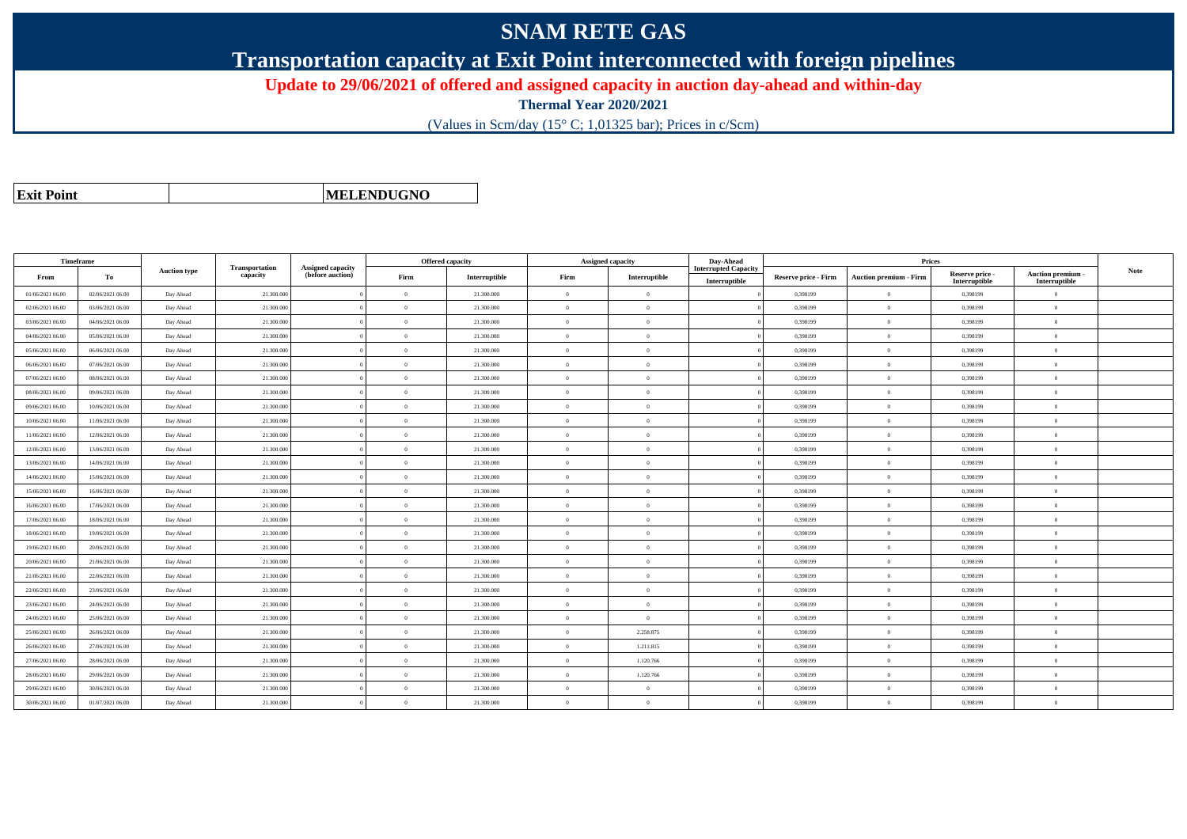## **SNAM RETE GAS**

**Transportation capacity at Exit Point interconnected with foreign pipelines**

**Update to 29/06/2021 of offered and assigned capacity in auction day-ahead and within-day**

**Thermal Year 2020/2021**

(Values in Scm/day (15° C; 1,01325 bar); Prices in c/Scm)

|  | <b>Exit Point</b> |
|--|-------------------|
|  |                   |

**MELENDUGNO**

| <b>Timeframe</b> |                  |                     |            |  | <b>Offered capacity</b>           |                                              |                | <b>Assigned capacity</b> | Day-Ahead | <b>Prices</b> |                                              |                             |                               |                                  |                                    |      |
|------------------|------------------|---------------------|------------|--|-----------------------------------|----------------------------------------------|----------------|--------------------------|-----------|---------------|----------------------------------------------|-----------------------------|-------------------------------|----------------------------------|------------------------------------|------|
| From             | То               | <b>Auction type</b> |            |  | <b>Transportation</b><br>capacity | <b>Assigned capacity</b><br>(before auction) | Firm           | Interruptible            | Firm      | Interruptible | <b>Interrupted Capacity</b><br>Interruptible | <b>Reserve price - Firm</b> | <b>Auction premium - Firm</b> | Reserve price -<br>Interruptible | Auction premium -<br>Interruptible | Note |
| 01/06/2021 06:00 | 02/06/2021 06:00 | Day Ahead           | 21.300.000 |  | $\Omega$                          | 21.300.000                                   | $\Omega$       | $\overline{0}$           |           | 0,398199      | $\overline{0}$                               | 0,398199                    | $\Omega$                      |                                  |                                    |      |
| 02/06/2021 06:00 | 03/06/2021 06:00 | Day Ahead           | 21.300.000 |  | $\Omega$                          | 21.300.000                                   | $\Omega$       | $\theta$                 |           | 0,398199      | $\overline{0}$                               | 0,398199                    | $\mathbf{0}$                  |                                  |                                    |      |
| 03/06/2021 06:00 | 04/06/2021 06:00 | Day Ahead           | 21.300.000 |  | $\theta$                          | 21.300.000                                   | $\overline{0}$ | $\overline{0}$           |           | 0,398199      | $\overline{0}$                               | 0,398199                    | $\mathbf{0}$                  |                                  |                                    |      |
| 04/06/2021 06:00 | 05/06/2021 06:00 | Day Ahead           | 21.300.000 |  | $\theta$                          | 21.300.000                                   | $\Omega$       | $\Omega$                 |           | 0,398199      | $\overline{0}$                               | 0,398199                    | $\Omega$                      |                                  |                                    |      |
| 05/06/2021 06:00 | 06/06/2021 06:00 | Day Ahead           | 21.300.00  |  | $\Omega$                          | 21.300.000                                   | $\Omega$       | $\overline{0}$           |           | 0,398199      | $\overline{0}$                               | 0,398199                    | $\Omega$                      |                                  |                                    |      |
| 06/06/2021 06:00 | 07/06/2021 06:00 | Day Ahead           | 21,300,000 |  | $\Omega$                          | 21.300.000                                   | $\Omega$       | $\overline{0}$           |           | 0.398199      | $\overline{0}$                               | 0.398199                    | $\theta$                      |                                  |                                    |      |
| 07/06/2021 06:00 | 08/06/2021 06:00 | Day Ahead           | 21.300,000 |  | $\Omega$                          | 21.300,000                                   | $\Omega$       | $\Omega$                 |           | 0.398199      | $\theta$                                     | 0.398199                    | $\Omega$                      |                                  |                                    |      |
| 08/06/2021 06:00 | 09/06/2021 06:00 | Day Ahead           | 21.300.000 |  | $\alpha$                          | 21.300.000                                   | $\Omega$       | $\theta$                 |           | 0,398199      | $\Omega$                                     | 0,398199                    | $\overline{0}$                |                                  |                                    |      |
| 09/06/2021 06:00 | 10/06/2021 06:00 | Day Ahead           | 21.300.000 |  | $\Omega$                          | 21.300.000                                   | $\Omega$       | $\Omega$                 |           | 0,398199      | $\overline{0}$                               | 0,398199                    | $\Omega$                      |                                  |                                    |      |
| 10/06/2021 06:00 | 11/06/2021 06:00 | Day Ahead           | 21.300.000 |  | $\Omega$                          | 21.300.000                                   | $\Omega$       | $\theta$                 |           | 0,398199      | $\overline{0}$                               | 0,398199                    | $\Omega$                      |                                  |                                    |      |
| 11/06/2021 06:00 | 12/06/2021 06:00 | Day Ahead           | 21.300.000 |  | $\Omega$                          | 21.300.000                                   | $\Omega$       | $\theta$                 |           | 0,398199      | $\Omega$                                     | 0,398199                    | $\overline{0}$                |                                  |                                    |      |
| 12/06/2021 06:00 | 13/06/2021 06:00 | Day Ahead           | 21.300.00  |  | $\theta$                          | 21.300.000                                   | $\overline{0}$ | $\overline{0}$           |           | 0.398199      | $\overline{0}$                               | 0.398199                    | $\overline{0}$                |                                  |                                    |      |
| 13/06/2021 06:00 | 14/06/2021 06:00 | Day Ahead           | 21.300.000 |  | $\theta$                          | 21.300.000                                   | $\Omega$       | $\overline{0}$           |           | 0,398199      | $\overline{0}$                               | 0,398199                    | $\Omega$                      |                                  |                                    |      |
| 14/06/2021 06:00 | 15/06/2021 06:00 | Day Ahead           | 21.300.00  |  | $\Omega$                          | 21.300.000                                   | $\Omega$       | $\Omega$                 |           | 0.398199      | $\theta$                                     | 0,398199                    | $\Omega$                      |                                  |                                    |      |
| 15/06/2021 06:00 | 16/06/2021 06:00 | Day Ahead           | 21.300.000 |  | $\Omega$                          | 21.300.000                                   | $\Omega$       | $\Omega$                 |           | 0.398199      | $\overline{0}$                               | 0,398199                    | $\Omega$                      |                                  |                                    |      |
| 16/06/2021 06:00 | 17/06/2021 06:00 | Day Ahead           | 21.300.000 |  | $\Omega$                          | 21.300.000                                   | $\Omega$       | $\theta$                 |           | 0.398199      | $\overline{0}$                               | 0.398199                    | $\Omega$                      |                                  |                                    |      |
| 17/06/2021 06:00 | 18/06/2021 06:00 | Day Ahead           | 21.300.000 |  | $\Omega$                          | 21.300.000                                   | $\Omega$       | $\theta$                 |           | 0,398199      | $\overline{0}$                               | 0,398199                    | $\mathbf{0}$                  |                                  |                                    |      |
| 18/06/2021 06:00 | 19/06/2021 06:00 | Day Ahead           | 21.300.000 |  | $\Omega$                          | 21.300.000                                   | $\Omega$       | $\Omega$                 |           | 0,398199      | $\theta$                                     | 0,398199                    | $\Omega$                      |                                  |                                    |      |
| 19/06/2021 06:00 | 20/06/2021 06:00 | Day Ahead           | 21.300.000 |  | $\Omega$                          | 21.300.000                                   | $\Omega$       | $\overline{0}$           |           | 0,398199      | $\overline{0}$                               | 0,398199                    | $\overline{0}$                |                                  |                                    |      |
| 20/06/2021 06:00 | 21/06/2021 06:00 | Day Ahead           | 21.300.000 |  | $\theta$                          | 21.300.000                                   | $\overline{0}$ | $\overline{0}$           |           | 0,398199      | $\overline{0}$                               | 0,398199                    | $\theta$                      |                                  |                                    |      |
| 21/06/2021 06:00 | 22/06/2021 06:00 | Day Ahead           | 21.300.00  |  | $\theta$                          | 21.300.000                                   | $\overline{0}$ | $\theta$                 |           | 0.398199      | $\overline{0}$                               | 0.398199                    | $\overline{0}$                |                                  |                                    |      |
| 22/06/2021 06:00 | 23/06/2021 06:00 | Day Ahead           | 21.300.000 |  | $\Omega$                          | 21.300.000                                   | $\Omega$       | $\Omega$                 |           | 0,398199      | $\Omega$                                     | 0,398199                    | $\Omega$                      |                                  |                                    |      |
| 23/06/2021 06:00 | 24/06/2021 06:00 | Day Ahead           | 21.300.000 |  | $\Omega$                          | 21.300.000                                   | $\Omega$       | $\theta$                 |           | 0,398199      | $\overline{0}$                               | 0,398199                    | $\Omega$                      |                                  |                                    |      |
| 24/06/2021 06:00 | 25/06/2021 06:00 | Day Ahead           | 21.300.000 |  | $\Omega$                          | 21,300,000                                   | $\Omega$       | $\overline{0}$           |           | 0.398199      | $\overline{0}$                               | 0,398199                    | $\Omega$                      |                                  |                                    |      |
| 25/06/2021 06:00 | 26/06/2021 06:00 | Day Ahead           | 21.300,000 |  | $\Omega$                          | 21.300.000                                   | $\Omega$       | 2.258.875                |           | 0.398199      | $\overline{0}$                               | 0.398199                    | $\Omega$                      |                                  |                                    |      |
| 26/06/2021 06:00 | 27/06/2021 06:00 | Day Ahead           | 21.300.000 |  | $\Omega$                          | 21.300.000                                   | $\Omega$       | 1.211.815                |           | 0,398199      | $\overline{0}$                               | 0,398199                    | $\overline{0}$                |                                  |                                    |      |
| 27/06/2021 06:00 | 28/06/2021 06:00 | Day Ahead           | 21.300.000 |  | $\theta$                          | 21.300.000                                   | $\Omega$       | 1.120.766                |           | 0,398199      | $\overline{0}$                               | 0,398199                    | $\theta$                      |                                  |                                    |      |
| 28/06/2021 06:00 | 29/06/2021 06:00 | Day Ahead           | 21.300.000 |  | $\Omega$                          | 21.300.000                                   | $\Omega$       | 1.120.766                |           | 0,398199      | $\overline{0}$                               | 0,398199                    | $\Omega$                      |                                  |                                    |      |
| 29/06/2021 06:00 | 30/06/2021 06:00 | Day Ahead           | 21.300.000 |  | $\Omega$                          | 21.300.000                                   | $\Omega$       | $\theta$                 |           | 0,398199      | $\Omega$                                     | 0,398199                    | $\overline{0}$                |                                  |                                    |      |
| 30/06/2021 06:00 | 01/07/2021 06:00 | Day Ahead           | 21.300.000 |  | $\theta$                          | 21.300.000                                   | $\overline{0}$ | $\overline{0}$           |           | 0.398199      | $\mathbf{0}$                                 | 0.398199                    | $\mathbf{0}$                  |                                  |                                    |      |